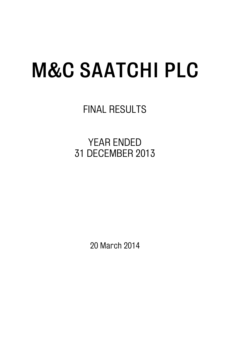# **M&C SAATCHI PLC**

FINAL RESULTS

YEAR ENDED 31 DECEMBER 2013

20 March 2014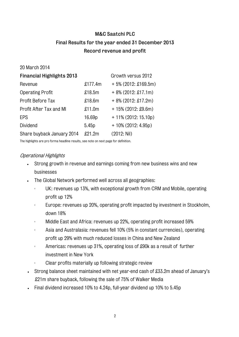## **M&C Saatchi PLC Final Results for the year ended 31 December 2013 Record revenue and profit**

20 March 2014

| <b>Financial Highlights 2013</b> |         | Growth versus 2012     |
|----------------------------------|---------|------------------------|
| Revenue                          | £177.4m | $+5\%$ (2012: £169.5m) |
| <b>Operating Profit</b>          | £18.5m  | $+8\%$ (2012: £17.1m)  |
| Profit Before Tax                | £18.6m  | $+8\%$ (2012: £17.2m)  |
| Profit After Tax and MI          | £11.0m  | $+15\%$ (2012: £9.6m)  |
| EPS                              | 16.69p  | $+11\%$ (2012: 15.10p) |
| Dividend                         | 5.45p   | $+10\%$ (2012: 4.95p)  |
| Share buyback January 2014       | £21.2m  | (2012: Nil)            |

The highlights are pro forma headline results, see note on next page for definition.

## Operational Highlights

- Strong growth in revenue and earnings coming from new business wins and new businesses
- . The Global Network performed well across all geographies:
	- UK: revenues up 13%, with exceptional growth from CRM and Mobile, operating profit up 12%
	- Europe: revenues up 20%, operating profit impacted by investment in Stockholm, down 18%
	- Middle East and Africa: revenues up 22%, operating profit increased 59%
	- Asia and Australasia: revenues fell 10% (5% in constant currencies), operating profit up 29% with much reduced losses in China and New Zealand
	- Americas: revenues up 31%, operating loss of £90k as a result of further investment in New York
	- Clear profits materially up following strategic review
- Strong balance sheet maintained with net year-end cash of £33.2m ahead of January's £21m share buyback, following the sale of 75% of Walker Media
- Final dividend increased 10% to 4.24p, full-year dividend up 10% to 5.45p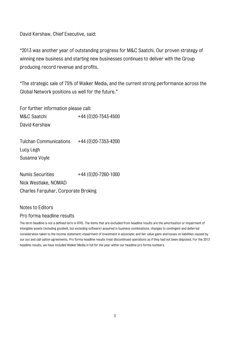David Kershaw, Chief Executive, said:

"2013 was another year of outstanding progress for M&C Saatchi. Our proven strategy of winning new business and starting new businesses continues to deliver with the Group producing record revenue and profits.

"The strategic sale of 75% of Walker Media, and the current strong performance across the Global Network positions us well for the future."

For further information please call:

M&C Saatchi +44 (0)20-7543-4500 David Kershaw

Tulchan Communications  $+44(0)20-7353-4200$ Lucy Legh Susanna Voyle

Numis Securities +44 (0)20-7260-1000 Nick Westlake, NOMAD Charles Farquhar, Corporate Broking

## Notes to Editors

#### Pro forma headline results

The term headline is not a defined term in IFRS. The items that are excluded from headline results are the amortisation or impairment of intangible assets (including goodwill, but excluding software) acquired in business combinations, changes to contingent and deferred consideration taken to the income statement; impairment of investment in associate; and fair value gains and losses on liabilities caused by our put and call option agreements. Pro forma headline results treat discontinued operations as if they had not been disposed. For the 2013 headline results, we have included Walker Media in full for the year within our headline pro forma numbers.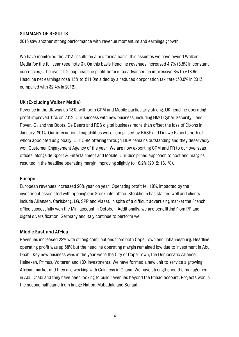#### **SUMMARY OF RESULTS**

2013 saw another strong performance with revenue momentum and earnings growth.

We have monitored the 2013 results on a pro forma basis, this assumes we have owned Walker Media for the full year (see note 3). On this basis Headline revenues increased 4.7% (6.5% in constant currencies). The overall Group headline profit before tax advanced an impressive 8% to £18.6m. Headline net earnings rose 15% to £11.0m aided by a reduced corporation tax rate (30.0% in 2013, compared with 32.4% in 2012).

#### **UK (Excluding Walker Media)**

Revenue in the UK was up 13%, with both CRM and Mobile particularly strong. UK headline operating profit improved 12% on 2012. Our success with new business, including HMG Cyber Security, Land Rover, O<sub>2</sub> and the Boots, De Beers and RBS digital business more than offset the loss of Dixons in January 2014. Our international capabilities were recognised by BASF and Douwe Egberts both of whom appointed us globally. Our CRM offering through LIDA remains outstanding and they deservedly won Customer Engagement Agency of the year. We are now exporting CRM and PR to our overseas offices, alongside Sport & Entertainment and Mobile. Our disciplined approach to cost and margins resulted in the headline operating margin improving slightly to 16.2% (2012: 16.1%).

#### **Europe**

European revenues increased 20% year on year. Operating profit fell 18%, impacted by the investment associated with opening our Stockholm office. Stockholm has started well and clients include Alliansen, Carlsberg, LG, SPP and Viasat. In spite of a difficult advertising market the French office successfully won the Mini account in October. Additionally, we are benefitting from PR and digital diversification. Germany and Italy continue to perform well.

#### **Middle East and Africa**

Revenues increased 22% with strong contributions from both Cape Town and Johannesburg. Headline operating profit was up 58% but the headline operating margin remained low due to investment in Abu Dhabi. Key new business wins in the year were the City of Cape Town, the Democratic Alliance, Heineken, Primus, Voltaren and 10X Investments. We have formed a new unit to service a growing African market and they are working with Guinness in Ghana. We have strengthened the management in Abu Dhabi and they have been looking to build revenues beyond the Etihad account. Projects won in the second half came from Image Nation, Mubadala and Senaat.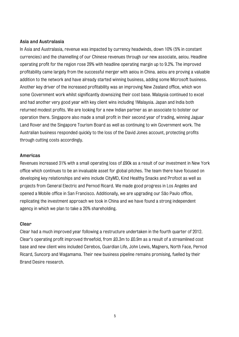#### **Asia and Australasia**

In Asia and Australasia, revenue was impacted by currency headwinds, down 10% (5% in constant currencies) and the channelling of our Chinese revenues through our new associate, aeiou. Headline operating profit for the region rose 29% with headline operating margin up to 9.2%. The improved profitability came largely from the successful merger with aeiou in China. aeiou are proving a valuable addition to the network and have already started winning business, adding some Microsoft business. Another key driver of the increased profitability was an improving New Zealand office, which won some Government work whilst significantly downsizing their cost base. Malaysia continued to excel and had another very good year with key client wins including 1Malaysia. Japan and India both returned modest profits. We are looking for a new Indian partner as an associate to bolster our operation there. Singapore also made a small profit in their second year of trading, winning Jaguar Land Rover and the Singapore Tourism Board as well as continuing to win Government work. The Australian business responded quickly to the loss of the David Jones account, protecting profits through cutting costs accordingly.

#### **Americas**

Revenues increased 31% with a small operating loss of £90k as a result of our investment in New York office which continues to be an invaluable asset for global pitches. The team there have focused on developing key relationships and wins include CityMD, Kind Healthy Snacks and Profoot as well as projects from General Electric and Pernod Ricard. We made good progress in Los Angeles and opened a Mobile office in San Francisco. Additionally, we are upgrading our São Paulo office, replicating the investment approach we took in China and we have found a strong independent agency in which we plan to take a 20% shareholding.

#### **Clear**

Clear had a much improved year following a restructure undertaken in the fourth quarter of 2012. Clear's operating profit improved threefold, from £0.3m to £0.9m as a result of a streamlined cost base and new client wins included Cerebos, Guardian Life, John Lewis, Magners, North Face, Pernod Ricard, Suncorp and Wagamama. Their new business pipeline remains promising, fuelled by their Brand Desire research.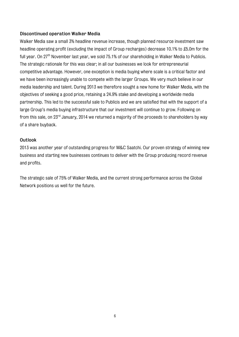#### **Discontinued operation Walker Media**

Walker Media saw a small 3% headline revenue increase, though planned resource investment saw headline operating profit (excluding the impact of Group recharges) decrease 10.1% to £5.0m for the full year. On 27<sup>th</sup> November last year, we sold 75.1% of our shareholding in Walker Media to Publicis. The strategic rationale for this was clear; in all our businesses we look for entrepreneurial competitive advantage. However, one exception is media buying where scale is a critical factor and we have been increasingly unable to compete with the larger Groups. We very much believe in our media leadership and talent. During 2013 we therefore sought a new home for Walker Media, with the objectives of seeking a good price, retaining a 24.9% stake and developing a worldwide media partnership. This led to the successful sale to Publicis and we are satisfied that with the support of a large Group's media buying infrastructure that our investment will continue to grow. Following on from this sale, on  $23<sup>rd</sup>$  January, 2014 we returned a majority of the proceeds to shareholders by way of a share buyback.

#### **Outlook**

2013 was another year of outstanding progress for M&C Saatchi. Our proven strategy of winning new business and starting new businesses continues to deliver with the Group producing record revenue and profits.

The strategic sale of 75% of Walker Media, and the current strong performance across the Global Network positions us well for the future.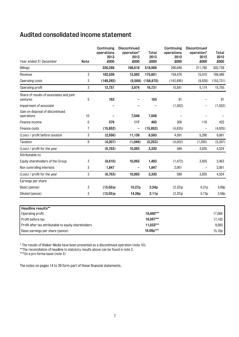# **Audited consolidated income statement**

| Year ended 31 December                               | <b>Note</b> | Continuing<br>operations<br>2013<br>£000 | Discontinued<br>operation*<br>2013<br>£000 | <b>Total</b><br>2013<br>£000 | Continuing<br>operations<br>2012<br>£000 | Discontinued<br>operation*<br>2012<br>£000 | Total<br>2012<br>£000 |
|------------------------------------------------------|-------------|------------------------------------------|--------------------------------------------|------------------------------|------------------------------------------|--------------------------------------------|-----------------------|
| <b>Billings</b>                                      |             | 320,288                                  | 198,618                                    | 518,906                      | 290,948                                  | 211,790                                    | 502,738               |
| Revenue                                              | 3           | 162,039                                  | 13,562                                     | 175,601                      | 154,476                                  | 15,010                                     | 169,486               |
| Operating costs                                      | 3           | (149, 282)                               |                                            | $(9,588)$ $(158,870)$        | (143, 895)                               | (9,836)                                    | (153, 731)            |
| Operating profit                                     | 3           | 12,757                                   | 3,974                                      | 16,731                       | 10,581                                   | 5,174                                      | 15,755                |
| Share of results of associates and joint<br>ventures | 5           | 163                                      |                                            | 163                          | 91                                       |                                            | 91                    |
| Impairment of associate                              |             |                                          |                                            |                              | (1,552)                                  | —                                          | (1, 552)              |
| Gain on disposal of discontinued<br>operations       | 10          |                                          | 7,048                                      | 7,048                        |                                          |                                            |                       |
| Finance income                                       | 6           | 376                                      | 117                                        | 493                          | 306                                      | 116                                        | 422                   |
| Finance costs                                        | 7           | (15, 852)                                | -                                          | (15, 852)                    | (4, 835)                                 | $\overline{\phantom{0}}$                   | (4,835)               |
| (Loss) / profit before taxation                      | 3           | (2,556)                                  | 11,139                                     | 8,583                        | 4,591                                    | 5,290                                      | 9,881                 |
| Taxation                                             | 8           | (4,207)                                  | (1,046)                                    | (5,253)                      | (4,002)                                  | (1,355)                                    | (5,357)               |
| (Loss) / profit for the year                         |             | (6, 763)                                 | 10,093                                     | 3,330                        | 589                                      | 3,935                                      | 4,524                 |
| Attributable to:                                     |             |                                          |                                            |                              |                                          |                                            |                       |
| Equity shareholders of the Group                     | 3           | (8,610)                                  | 10,093                                     | 1,483                        | (1, 472)                                 | 3,935                                      | 2,463                 |
| Non controlling interests                            | 3           | 1,847                                    |                                            | 1,847                        | 2,061                                    |                                            | 2,061                 |
| (Loss) / profit for the year                         | 3           | (6, 763)                                 | 10,093                                     | 3,330                        | 589                                      | 3,935                                      | 4,524                 |
| Earnings per share                                   |             |                                          |                                            |                              |                                          |                                            |                       |
| Basic (pence)                                        | 3           | (13.03)p                                 | 15.27p                                     | 2.24p                        | (2.32)p                                  | 6.21p                                      | 3.89p                 |
| Diluted (pence)                                      | 3           | (13.03)p                                 | 14.38p                                     | 2.11p                        | (2.32)p                                  | 5.73p                                      | 3.59p                 |
| Headline results**                                   |             |                                          |                                            |                              |                                          |                                            |                       |
| Operating profit                                     |             |                                          |                                            | 18,460***                    |                                          |                                            | 17,068                |
| Profit before tax                                    |             |                                          |                                            | 18,597***                    |                                          |                                            | 17,182                |

Profit after tax attributable to equity shareholders **11,033\*\*\* 11,033\*\*\* 11,033\*\*\*** 9,560 Basic earnings per share (pence) **16.69p<sup>\*\*\*</sup> 16.69p**<sup>\*\*\*</sup> **15.10p** 

\* The results of Walker Media have been presented as a discontinued operation (note 10).

\*\*The reconciliation of headline to statutory results above can be found in note 3.

\*\*\*On a pro forma basis (note 3)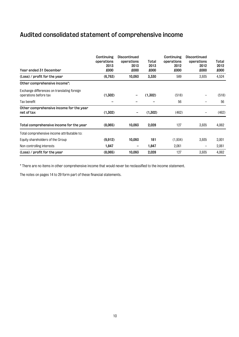# **Audited consolidated statement of comprehensive income**

| Year ended 31 December                                               | Continuing<br>operations<br>2013<br>£000 | <b>Discontinued</b><br>operations<br>2013<br>£000 | Total<br>2013<br>£000 | Continuing<br>operations<br>2012<br>£000 | Discontinued<br>operations<br>2012<br>£000 | Total<br>2012<br>£000 |
|----------------------------------------------------------------------|------------------------------------------|---------------------------------------------------|-----------------------|------------------------------------------|--------------------------------------------|-----------------------|
| $(\text{Loss})$ / profit for the year                                | (6, 763)                                 | 10,093                                            | 3,330                 | 589                                      | 3,935                                      | 4,524                 |
| Other comprehensive income*:                                         |                                          |                                                   |                       |                                          |                                            |                       |
| Exchange differences on translating foreign<br>operations before tax | (1,302)                                  | -                                                 | (1,302)               | (518)                                    |                                            | (518)                 |
| Tax benefit                                                          |                                          |                                                   |                       | 56                                       |                                            | 56                    |
| Other comprehensive income for the year<br>net of tax                | (1,302)                                  |                                                   | (1,302)               | (462)                                    |                                            | (462)                 |
| Total comprehensive income for the year                              | (8,065)                                  | 10,093                                            | 2,028                 | 127                                      | 3,935                                      | 4,062                 |
| Total comprehensive income attributable to:                          |                                          |                                                   |                       |                                          |                                            |                       |
| Equity shareholders of the Group                                     | (9,912)                                  | 10,093                                            | 181                   | (1,934)                                  | 3,935                                      | 2,001                 |
| Non controlling interests                                            | 1,847                                    |                                                   | 1,847                 | 2,061                                    | $\qquad \qquad -$                          | 2,061                 |
| $(\text{Loss})$ / profit for the year                                | (8,065)                                  | 10,093                                            | 2,028                 | 127                                      | 3,935                                      | 4,062                 |

\* There are no items in other comprehensive income that would never be reclassified to the income statement.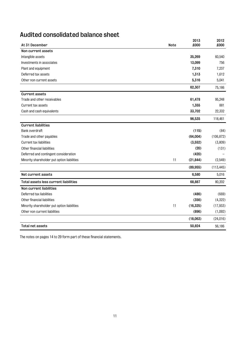# **Audited consolidated balance sheet**

| At 31 December                              | <b>Note</b> | 2013<br>£000 | 2012<br>£000 |
|---------------------------------------------|-------------|--------------|--------------|
| Non current assets                          |             |              |              |
| Intangible assets                           |             | 35,269       | 60,540       |
| Investments in associates                   |             | 13,099       | 756          |
| Plant and equipment                         |             | 7,310        | 7,237        |
| Deferred tax assets                         |             | 1,313        | 1,612        |
| Other non current assets                    |             | 5,316        | 5,041        |
|                                             |             | 62,307       | 75,186       |
| <b>Current assets</b>                       |             |              |              |
| Trade and other receivables                 |             | 61,478       | 95,248       |
| Current tax assets                          |             | 1,355        | 881          |
| Cash and cash equivalents                   |             | 33,702       | 22,332       |
|                                             |             | 96,535       | 118,461      |
| <b>Current liabilities</b>                  |             |              |              |
| Bank overdraft                              |             | (115)        | (84)         |
| Trade and other payables                    |             | (64,004)     | (106, 872)   |
| Current tax liabilities                     |             | (3, 552)     | (3,809)      |
| Other financial liabilities                 |             | (20)         | (131)        |
| Deferred and contingent consideration       |             | (420)        |              |
| Minority shareholder put option liabilities | 11          | (21, 844)    | (2,549)      |
|                                             |             | (89, 955)    | (113, 445)   |
| Net current assets                          |             | 6,580        | 5,016        |
| Total assets less current liabilities       |             | 68,887       | 80,202       |
| Non current liabilities                     |             |              |              |
| Deferred tax liabilities                    |             | (486)        | (669)        |
| Other financial liabilities                 |             | (356)        | (4, 322)     |
| Minority shareholder put option liabilities | 11          | (16, 325)    | (17, 933)    |
| Other non current liabilities               |             | (896)        | (1,092)      |
|                                             |             | (18,063)     | (24, 016)    |
| <b>Total net assets</b>                     |             | 50,824       | 56,186       |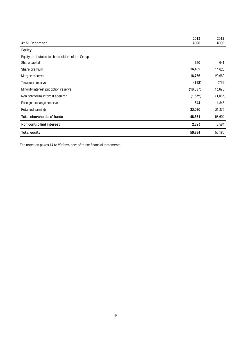|                                                  | 2013      | 2012      |
|--------------------------------------------------|-----------|-----------|
| At 31 December                                   | £000      | £000      |
| Equity                                           |           |           |
| Equity attributable to shareholders of the Group |           |           |
| Share capital                                    | 690       | 641       |
| Share premium                                    | 16,402    | 14,625    |
| Merger reserve                                   | 16,736    | 20,669    |
| Treasury reserve                                 | (792)     | (792)     |
| Minority interest put option reserve             | (16, 587) | (13, 675) |
| Non controlling interest acquired                | (1,532)   | (1,085)   |
| Foreign exchange reserve                         | 544       | 1,846     |
| Retained earnings                                | 33,070    | 31,373    |
| Total shareholders' funds                        | 48,531    | 53,602    |
| Non controlling interest                         | 2,293     | 2,584     |
| <b>Total equity</b>                              | 50,824    | 56,186    |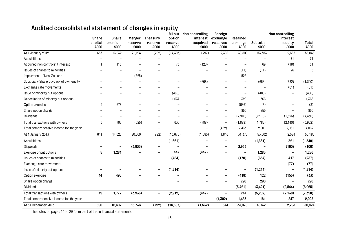# **Audited consolidated statement of changes in equity**

|                                         | Share                    | Share                    | Merger          | Treasury                 | option          | MI put Non controlling<br>interest | Foreign<br>exchange      | Retained                 |                  | Non controlling<br>interest |               |
|-----------------------------------------|--------------------------|--------------------------|-----------------|--------------------------|-----------------|------------------------------------|--------------------------|--------------------------|------------------|-----------------------------|---------------|
|                                         | capital<br>£000          | premium<br>£000          | reserve<br>£000 | reserve<br>£000          | reserve<br>£000 | acquired<br>£000                   | reserves<br>£000         | earnings<br>£000         | Subtotal<br>£000 | in equity<br>£000           | Total<br>£000 |
| At 1 January 2012                       | 635                      | 13,832                   | 21,194          | (792)                    | (14, 305)       | (297)                              | 2,308                    | 30,808                   | 53,383           | 2,663                       | 56,046        |
| Acquisitions                            |                          |                          |                 |                          |                 |                                    |                          |                          |                  | 71                          | 71            |
| Acquired non controlling interest       |                          | 115                      |                 |                          | 73              | (120)                              |                          |                          | 69               | (18)                        | 51            |
| Issues of shares to minorities          |                          |                          |                 |                          |                 |                                    |                          | (11)                     | (11)             | 26                          | 15            |
| Impairment of New Zealand               |                          |                          | (525)           |                          |                 |                                    |                          | 525                      |                  |                             |               |
| Subsidiary Share buyback of own equity  |                          |                          |                 |                          |                 | (668)                              |                          |                          | (668)            | (632)                       | (1,300)       |
| Exchange rate movements                 |                          |                          |                 |                          |                 |                                    |                          |                          |                  | (61)                        | (61)          |
| Issue of minority put options           |                          |                          |                 |                          | (480)           |                                    |                          |                          | (480)            |                             | (480)         |
| Cancellation of minority put options    |                          |                          |                 |                          | 1,037           |                                    | $\overline{\phantom{0}}$ | 329                      | 1,366            |                             | 1,366         |
| Option exercise                         | 5                        | 678                      |                 |                          |                 |                                    |                          | (686)                    | (3)              |                             | (3)           |
| Share option charge                     |                          |                          |                 |                          |                 |                                    |                          | 855                      | 855              |                             | 855           |
| Dividends                               |                          |                          |                 |                          |                 |                                    | $\overline{\phantom{0}}$ | (2,910)                  | (2,910)          | (1,526)                     | (4, 436)      |
| Total transactions with owners          | $\,6\,$                  | 793                      | (525)           | $\overline{\phantom{m}}$ | 630             | (788)                              | $\overline{\phantom{0}}$ | (1,898)                  | (1,782)          | (2, 140)                    | (3,922)       |
| Total comprehensive income for the year |                          |                          |                 |                          |                 | $\overline{\phantom{0}}$           | (462)                    | 2,463                    | 2,001            | 2,061                       | 4,062         |
| At 1 January 2013                       | 641                      | 14,625                   | 20,669          | (792)                    | (13, 675)       | (1,085)                            | 1,846                    | 31,373                   | 53,602           | 2,584                       | 56,186        |
| Acquisitions                            | $\overline{\phantom{0}}$ | $\overline{\phantom{0}}$ |                 | $\qquad \qquad -$        | (1,661)         | $\overline{\phantom{0}}$           |                          | $\overline{\phantom{a}}$ | (1,661)          | 321                         | (1,340)       |
| Disposals                               |                          | -                        | (3,933)         |                          |                 |                                    | -                        | 3,933                    |                  | (100)                       | (100)         |
| Exercise of put options                 | 5                        | 1,281                    |                 |                          | 447             | (447)                              |                          |                          | 1,286            | ۰                           | 1,286         |
| Issues of shares to minorities          |                          |                          |                 |                          | (484)           |                                    |                          | (170)                    | (654)            | 417                         | (237)         |
| Exchange rate movements                 |                          |                          |                 |                          |                 |                                    |                          |                          |                  | (77)                        | (77)          |
| Issue of minority put options           |                          |                          |                 |                          | (1, 214)        |                                    |                          | $\qquad \qquad -$        | (1, 214)         | $\overline{\phantom{0}}$    | (1, 214)      |
| Option exercise                         | 44                       | 496                      |                 |                          |                 |                                    |                          | (418)                    | 122              | (155)                       | (33)          |
| Share option charge                     |                          |                          |                 |                          |                 |                                    |                          | 290                      | 290              |                             | 290           |
| Dividends                               | $\overline{\phantom{0}}$ | -                        |                 |                          |                 |                                    | -                        | (3, 421)                 | (3, 421)         | (2,544)                     | (5,965)       |
| Total transactions with owners          | 49                       | 1,777                    | (3,933)         | $\overline{\phantom{m}}$ | (2, 912)        | (447)                              | $\overline{\phantom{0}}$ | 214                      | (5,252)          | (2, 138)                    | (7, 390)      |
| Total comprehensive income for the year |                          |                          |                 |                          |                 | $\overline{\phantom{0}}$           | (1,302)                  | 1,483                    | 181              | 1,847                       | 2,028         |
| At 31 December 2013                     | 690                      | 16,402                   | 16,736          | (792)                    | (16, 587)       | (1,532)                            | 544                      | 33,070                   | 48,531           | 2,293                       | 50,824        |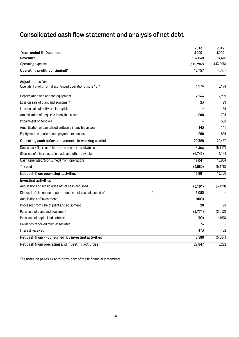# **Consolidated cash flow statement and analysis of net debt**

| Year ended 31 December                                                       |    | 2013<br>£000 | 2012<br>£000 |
|------------------------------------------------------------------------------|----|--------------|--------------|
| Revenue*                                                                     |    | 162,039      | 154,476      |
| Operating expenses*                                                          |    | (149, 282)   | (143, 895)   |
| Operating profit (continuing)*                                               |    | 12,757       | 10,581       |
| Adjustments for:<br>Operating profit from discontinued operations (note 10)* |    | 3,974        | 5,174        |
| Depreciation of plant and equipment                                          |    | 2,233        | 2,289        |
| Loss on sale of plant and equipment                                          |    | 23           | 99           |
| Loss on sale of software intangibles                                         |    |              | 35           |
| Amortisation of acquired intangible assets                                   |    | 900          | 705          |
| Impairment of goodwill                                                       |    |              | 608          |
| Amortisation of capitalised software intangible assets                       |    | 143          | 141          |
| Equity settled share based payment expenses                                  |    | 290          | 855          |
| Operating cash before movements in working capital                           |    | 20,320       | 20,487       |
| Decrease / (increase) in trade and other receivables                         |    | 5,464        | (5, 717)     |
| (Decrease) / increases/in trade and other payables                           |    | (6,743)      | 4,194        |
| Cash generated/(consumed) from operations                                    |    | 19,041       | 18,964       |
| Tax paid                                                                     |    | (5,080)      | (5, 178)     |
| Net cash from operating activities                                           |    | 13,961       | 13,786       |
| <b>Investing activities</b>                                                  |    |              |              |
| Acquisitions of subsidiaries net of cash acquired                            |    | (3, 101)     | (3, 199)     |
| Disposal of discontinued operations, net of cash disposed of                 | 10 | 15,082       |              |
| Acquisitions of investments                                                  |    | (800)        |              |
| Proceeds from sale of plant and equipment                                    |    | 20           | 28           |
| Purchase of plant and equipment                                              |    | (2,771)      | (2,652)      |
| Purchase of capitalised software                                             |    | (90)         | (163)        |
| Dividends received from associates                                           |    | 73           |              |
| Interest received                                                            |    | 473          | 422          |
| Net cash from / (consumed) by investing activities                           |    | 8,886        | (5, 564)     |
| Net cash from operating and investing activities                             |    | 22,847       | 8,222        |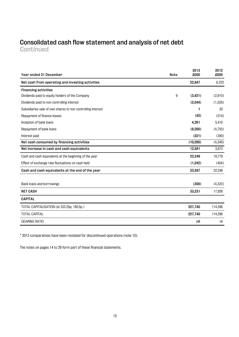## **Consolidated cash flow statement and analysis of net debt Continued**

| Year ended 31 December                                      | <b>Note</b> | 2013<br>£000 | 2012<br>£000 |
|-------------------------------------------------------------|-------------|--------------|--------------|
| Net cash from operating and investing activities            |             | 22,847       | 8,222        |
| <b>Financing activities</b>                                 |             |              |              |
| Dividends paid to equity holders of the Company             | 9           | (3, 421)     | (2,910)      |
| Dividends paid to non controlling interest                  |             | (2,544)      | (1,526)      |
| Subsidiaries sale of own shares to non controlling interest |             | 1            | 30           |
| Repayment of finance leases                                 |             | (42)         | (214)        |
| Inception of bank loans                                     |             | 4,261        | 5,416        |
| Repayment of bank loans                                     |             | (8, 200)     | (4,755)      |
| Interest paid                                               |             | (321)        | (390)        |
| Net cash consumed by financing activities                   |             | (10, 266)    | (4,349)      |
| Net increase in cash and cash equivalents                   |             | 12,581       | 3,873        |
| Cash and cash equivalents at the beginning of the year      |             | 22,248       | 18,779       |
| Effect of exchange rate fluctuations on cash held           |             | (1, 242)     | (404)        |
| Cash and cash equivalents at the end of the year            |             | 33,587       | 22,248       |
|                                                             |             |              |              |
| Bank loans and borrowings                                   |             | (356)        | (4,322)      |
| <b>NET CASH</b>                                             |             | 33,231       | 17,926       |
| <b>CAPITAL</b>                                              |             |              |              |
| TOTAL CAPITALISATION (at 333.25p; 180.5p)                   |             | 227,740      | 114,396      |
| <b>TOTAL CAPITAL</b>                                        |             | 227,740      | 114,396      |
| <b>GEARING RATIO</b>                                        |             | nil          | nil          |

\* 2012 comparatives have been restated for discontinued operations (note 10).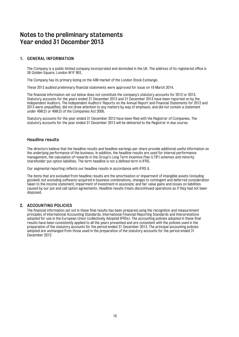## **Notes to the preliminary statements Year ended 31 December 2013**

#### **1. GENERAL INFORMATION**

The Company is a public limited company incorporated and domiciled in the UK. The address of its registered office is 36 Golden Square, London W1F 9EE.

The Company has its primary listing on the AIM market of the London Stock Exchange.

These 2013 audited preliminary financial statements were approved for issue on 19 March 2014.

The financial information set out below does not constitute the company's statutory accounts for 2012 or 2013. Statutory accounts for the years ended 31 December 2012 and 31 December 2013 have been reported on by the Independent Auditors. The Independent Auditors' Reports on the Annual Report and Financial Statements for 2012 and 2013 were unqualified, did not draw attention to any matters by way of emphasis, and did not contain a statement under 498(2) or 498(3) of the Companies Act 2006.

Statutory accounts for the year ended 31 December 2012 have been filed with the Registrar of Companies. The statutory accounts for the year ended 31 December 2013 will be delivered to the Registrar in due course.

#### **Headline results**

The directors believe that the headline results and headline earnings per share provide additional useful information on the underlying performance of the business. In addition, the headline results are used for internal performance management, the calculation of rewards in the Group's Long Term Incentive Plan (LTIP) schemes and minority shareholder put option liabilities. The term headline is not a defined term in IFRS.

Our segmental reporting reflects our headline results in accordance with IFRS 8.

The items that are excluded from headline results are the amortisation or impairment of intangible assets (including goodwill, but excluding software) acquired in business combinations, changes to contingent and deferred consideration taken to the income statement; impairment of investment in associate; and fair value gains and losses on liabilities caused by our put and call option agreements. Headline results treats discontinued operations as if they had not been disposed.

#### **2. ACCOUNTING POLICIES**

The financial information set out in these final results has been prepared using the recognition and measurement principles of International Accounting Standards, International Financial Reporting Standards and Interpretations adopted for use in the European Union (collectively Adopted IFRSs). The accounting policies adopted in these final results have been consistently applied to all the years presented and are consistent with the policies used in the preparation of the statutory accounts for the period ended 31 December 2013. The principal accounting policies adopted are unchanged from those used in the preparation of the statutory accounts for the period ended 31 December 2012.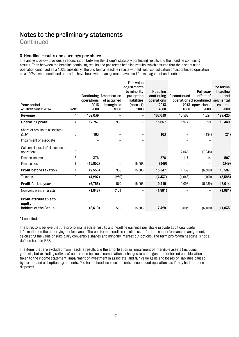**Continued** 

#### **3. Headline results and earnings per share**

The analysis below provides a reconciliation between the Group's statutory continuing results and the headline continuing results. Then between the headline continuing results and pro forma headline results, which assume that the discontinued operation continued as a 100% subsidiary. The pro forma headline results with full year consolidation of discontinued operation as a 100% owned continued operation have been what management have used for management and control.

| Year ended<br>31 December 2013                                    | <b>Note</b>    | operations<br>2013<br>£000 | Continuing Amortisation<br>of acquired<br>intangibles<br>£000 | Fair value<br>adjustments<br>to minority<br>put option<br>liabilities<br>(note 11)<br>000x | <b>Headline</b><br>continuing<br>operations<br>2013<br>£000 | Discontinued<br>£000 | Full year<br>effect of<br>operations discontinued<br>2013 operations*<br>£000 | Pro forma<br>headline<br>and<br>segmental<br>results*<br>£000 |
|-------------------------------------------------------------------|----------------|----------------------------|---------------------------------------------------------------|--------------------------------------------------------------------------------------------|-------------------------------------------------------------|----------------------|-------------------------------------------------------------------------------|---------------------------------------------------------------|
| Revenue                                                           | 4              | 162,039                    |                                                               | —                                                                                          | 162,039                                                     | 13,562               | 1,824                                                                         | 177,425                                                       |
| Operating profit                                                  | 4              | 12,757                     | 900                                                           | $\qquad \qquad -$                                                                          | 13,657                                                      | 3,974                | 829                                                                           | 18,460                                                        |
| Share of results of associates<br>& JV<br>Impairment of associate | 5              | 163                        |                                                               | $\qquad \qquad -$                                                                          | 163                                                         |                      | (184)                                                                         | (21)                                                          |
| Gain on disposal of discontinued<br>operations                    | 10             |                            |                                                               | $\overline{\phantom{0}}$                                                                   |                                                             | 7,048                | (7,048)                                                                       |                                                               |
| Finance income                                                    | 6              | 376                        |                                                               |                                                                                            | 376                                                         | 117                  | 14                                                                            | 507                                                           |
| Finance cost                                                      | $\overline{7}$ | (15, 852)                  |                                                               | 15,503                                                                                     | (349)                                                       |                      |                                                                               | (349)                                                         |
| Profit before taxation                                            | 4              | (2,556)                    | 900                                                           | 15,503                                                                                     | 13,847                                                      | 11,139               | (6,389)                                                                       | 18,597                                                        |
| Taxation                                                          | 8              | (4,207)                    | (230)                                                         | $\qquad \qquad -$                                                                          | (4, 437)                                                    | (1,046)              | (100)                                                                         | (5,583)                                                       |
| Profit for the year                                               |                | (6, 763)                   | 670                                                           | 15,503                                                                                     | 9,410                                                       | 10,093               | (6, 489)                                                                      | 13,014                                                        |
| Non controlling interests                                         |                | (1, 847)                   | (134)                                                         | $\qquad \qquad -$                                                                          | (1,981)                                                     |                      |                                                                               | (1,981)                                                       |
| Profit attributable to<br>equity<br>holders of the Group          |                | (8,610)                    | 536                                                           | 15,503                                                                                     | 7,429                                                       | 10,093               | (6, 489)                                                                      | 11,033                                                        |

\* Unaudited.

The Directors believe that the pro forma headline results and headline earnings per share provide additional useful information on the underlying performance. The pro forma headline result is used for internal performance management, calculating the value of subsidiary convertible shares and minority interest put options. The term pro forma headline is not a defined term in IFRS.

The items that are excluded from headline results are the amortisation or impairment of intangible assets (including goodwill, but excluding software) acquired in business combinations, changes to contingent and deferred consideration taken to the income statement; impairment of investment in associate; and fair value gains and losses on liabilities caused by our put and call option agreements. Pro forma headline results treats discontinued operations as if they had not been disposed.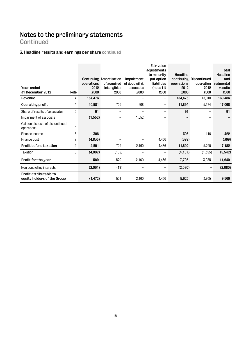## **Continued**

## **3. Headline results and earnings per share continued**

|                                                       |             |            |                                |               | Fair value        |            |              |           |
|-------------------------------------------------------|-------------|------------|--------------------------------|---------------|-------------------|------------|--------------|-----------|
|                                                       |             |            |                                |               | adjustments       |            |              | Total     |
|                                                       |             |            |                                |               | to minority       | Headline   |              | Headline  |
|                                                       |             |            | <b>Continuing Amortisation</b> | Impairment    | put option        | continuing | Discontinued | and       |
|                                                       |             | operations | of acquired                    | of goodwill & | liabilities       | operations | operation    | segmental |
| Year ended                                            |             | 2012       | intangibles                    | associate     | (note 11)         | 2012       | 2012         | results   |
| 31 December 2012                                      | <b>Note</b> | £000       | 000x                           | £000          | £000              | £000       | £000         | £000      |
| Revenue                                               | 4           | 154,476    |                                |               | $\qquad \qquad -$ | 154,476    | 15,010       | 169,486   |
| Operating profit                                      | 4           | 10,581     | 705                            | 608           | $\qquad \qquad -$ | 11,894     | 5,174        | 17,068    |
| Share of results of associates                        | 5           | 91         |                                |               |                   | 91         |              | 91        |
| Impairment of associate                               |             | (1,552)    |                                | 1,552         |                   |            |              |           |
| Gain on disposal of discontinued                      |             |            |                                |               |                   |            |              |           |
| operations                                            | 10          |            |                                |               |                   |            |              |           |
| Finance income                                        | 6           | 306        |                                |               |                   | 306        | 116          | 422       |
| Finance cost                                          |             | (4, 835)   |                                |               | 4,436             | (399)      |              | (399)     |
| Profit before taxation                                | 4           | 4,591      | 705                            | 2,160         | 4,436             | 11,892     | 5,290        | 17,182    |
| Taxation                                              | 8           | (4,002)    | (185)                          |               |                   | (4, 187)   | (1,355)      | (5, 542)  |
| Profit for the year                                   |             | 589        | 520                            | 2,160         | 4,436             | 7,705      | 3,935        | 11,640    |
| Non controlling interests                             |             | (2,061)    | (19)                           |               |                   | (2,080)    |              | (2,080)   |
| Profit attributable to<br>equity holders of the Group |             | (1, 472)   | 501                            | 2,160         | 4,436             | 5,625      | 3,935        | 9,560     |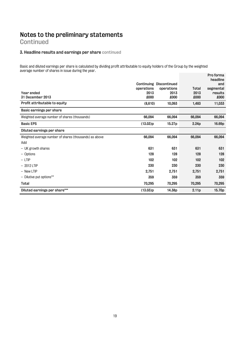## **Continued**

## **3. Headline results and earnings per share continued**

Basic and diluted earnings per share is calculated by dividing profit attributable to equity holders of the Group by the weighted average number of shares in issue during the year.

|                                                        | operations | <b>Continuing Discontinued</b><br>operations | Total  | Pro forma<br>headline<br>and<br>segmental |
|--------------------------------------------------------|------------|----------------------------------------------|--------|-------------------------------------------|
| Year ended                                             | 2013       | 2013                                         | 2013   | results                                   |
| 31 December 2013                                       | £000       | <b>COO3</b>                                  | £000   | 000x                                      |
| Profit attributable to equity                          | (8,610)    | 10,093                                       | 1,483  | 11,033                                    |
| Basic earnings per share                               |            |                                              |        |                                           |
| Weighted average number of shares (thousands)          | 66,094     | 66,094                                       | 66,094 | 66,094                                    |
| <b>Basic EPS</b>                                       | (13.03)p   | 15.27p                                       | 2.24p  | 16.69p                                    |
| Diluted earnings per share                             |            |                                              |        |                                           |
| Weighted average number of shares (thousands) as above | 66,094     | 66,094                                       | 66,094 | 66,094                                    |
| Add                                                    |            |                                              |        |                                           |
| - UK growth shares                                     | 631        | 631                                          | 631    | 631                                       |
| - Options                                              | 128        | 128                                          | 128    | 128                                       |
| $-$ LTIP                                               | 102        | 102                                          | 102    | 102                                       |
| $-2012$ LTIP                                           | 230        | 230                                          | 230    | 230                                       |
| - New LTIP                                             | 2,751      | 2,751                                        | 2,751  | 2,751                                     |
| - Dilutive put options**                               | 359        | 359                                          | 359    | 359                                       |
| Total                                                  | 70,295     | 70,295                                       | 70,295 | 70,295                                    |
| Diluted earnings per share***                          | (13.03)p   | 14.38p                                       | 2.11p  | 15.70p                                    |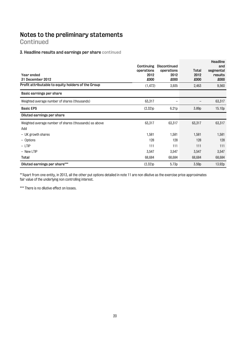**Continued** 

#### **3**. **Headline results and earnings per share continued**

| Year ended<br>31 December 2012<br>Profit attributable to equity holders of the Group | Continuing<br>operations<br>2012<br>£000 | <b>Discontinued</b><br>operations<br>2012<br>£000 | Total<br>2012<br>£000 | Headline<br>and<br>segmental<br>results<br>£000 |
|--------------------------------------------------------------------------------------|------------------------------------------|---------------------------------------------------|-----------------------|-------------------------------------------------|
|                                                                                      | (1, 472)                                 | 3,935                                             | 2,463                 | 9,560                                           |
| Basic earnings per share                                                             |                                          |                                                   |                       |                                                 |
| Weighted average number of shares (thousands)                                        | 63,317                                   |                                                   |                       | 63,317                                          |
| <b>Basic EPS</b>                                                                     | (2.32)p                                  | 6.21p                                             | 3.89p                 | 15.10p                                          |
| Diluted earnings per share                                                           |                                          |                                                   |                       |                                                 |
| Weighted average number of shares (thousands) as above                               | 63,317                                   | 63,317                                            | 63,317                | 63,317                                          |
| Add                                                                                  |                                          |                                                   |                       |                                                 |
| - UK growth shares                                                                   | 1,581                                    | 1,581                                             | 1,581                 | 1,581                                           |
| - Options                                                                            | 128                                      | 128                                               | 128                   | 128                                             |
| $-$ LTIP                                                                             | 111                                      | 111                                               | 111                   | 111                                             |
| $-$ New LTIP                                                                         | 3,547                                    | 3,547                                             | 3,547                 | 3,547                                           |
| Total                                                                                | 68,684                                   | 68,684                                            | 68,684                | 68,684                                          |
| Diluted earnings per share***                                                        | (2.32)p                                  | 5.73p                                             | 3.59 <sub>p</sub>     | 13.92p                                          |

\*\*Apart from one entity, in 2013, all the other put options detailed in note 11 are non dilutive as the exercise price approximates fair value of the underlying non controlling interest.

\*\*\* There is no dilutive effect on losses.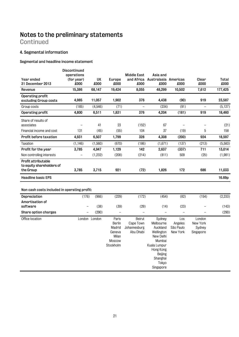**Continued** 

#### **4. Segmental information**

#### **Segmental and headline income statement**

| Year ended<br>31 December 2013                                | <b>Discontinued</b><br>operations<br>(for year)<br>£000 | UK<br>£000    | Europe<br>£000                                                      | <b>Middle East</b><br>£000                       | Asia and<br>and Africa Australasia Americas<br>£000                                                                                            | £000                                    | Clear<br>£000                             | Total<br>£000  |
|---------------------------------------------------------------|---------------------------------------------------------|---------------|---------------------------------------------------------------------|--------------------------------------------------|------------------------------------------------------------------------------------------------------------------------------------------------|-----------------------------------------|-------------------------------------------|----------------|
| Revenue                                                       | 15,386                                                  | 68,147        | 19,424                                                              | 8,055                                            | 48,299                                                                                                                                         | 10,502                                  | 7,612                                     | 177,425        |
| Operating profit<br>excluding Group costs                     | 4,985                                                   | 11,057        | 1,902                                                               | 376                                              | 4,438                                                                                                                                          | (90)                                    | 919                                       | 23,587         |
| Group costs                                                   | (185)                                                   | (4,546)       | (71)                                                                |                                                  | (234)                                                                                                                                          | (91)                                    |                                           | (5, 127)       |
| Operating profit                                              | 4,800                                                   | 6,511         | 1,831                                                               | 376                                              | 4,204                                                                                                                                          | (181)                                   | 919                                       | 18,460         |
| Share of results of<br>associates                             |                                                         | 41            | 23                                                                  | (152)                                            | 67                                                                                                                                             | $\qquad \qquad -$                       |                                           | (21)           |
| Financial income and cost                                     | 131                                                     | (45)          | (55)                                                                | 104                                              | 37                                                                                                                                             | (19)                                    | 5                                         | 158            |
| Profit before taxation                                        | 4,931                                                   | 6,507         | 1,799                                                               | 328                                              | 4,308                                                                                                                                          | (200)                                   | 924                                       | 18,597         |
| Taxation                                                      | (1, 146)                                                | (1,560)       | (670)                                                               | (186)                                            | (1,671)                                                                                                                                        | (137)                                   | (213)                                     | (5,583)        |
| Profit for the year                                           | 3,785                                                   | 4,947         | 1,129                                                               | 142                                              | 2,637                                                                                                                                          | (337)                                   | 711                                       | 13,014         |
| Non controlling interests                                     | $\qquad \qquad -$                                       | (1, 232)      | (208)                                                               | (214)                                            | (811)                                                                                                                                          | 509                                     | (25)                                      | (1,981)        |
| Profit attributable<br>to equity shareholders of<br>the Group | 3,785                                                   | 3,715         | 921                                                                 | (72)                                             | 1,826                                                                                                                                          | 172                                     | 686                                       | 11,033         |
| <b>Headline basic EPS</b>                                     |                                                         |               |                                                                     |                                                  |                                                                                                                                                |                                         |                                           | 16.69p         |
| Non cash costs included in operating profit:                  |                                                         |               |                                                                     |                                                  |                                                                                                                                                |                                         |                                           |                |
| Depreciation                                                  | (176)                                                   | (966)         | (229)                                                               | (172)                                            | (454)                                                                                                                                          | (82)                                    | (154)                                     | (2, 233)       |
| Amortisation of                                               |                                                         |               |                                                                     |                                                  |                                                                                                                                                |                                         |                                           |                |
| software                                                      | $\overline{\phantom{0}}$<br>$\overline{\phantom{0}}$    | (38)<br>(290) | (39)                                                                | (29)                                             | (14)                                                                                                                                           | (23)<br>$\equiv$                        |                                           | (143)<br>(290) |
| Share option charges                                          |                                                         |               | $\qquad \qquad -$                                                   |                                                  |                                                                                                                                                |                                         |                                           |                |
| Office location                                               |                                                         | London London | Paris<br>Berlin<br>Madrid<br>Geneva<br>Milan<br>Moscow<br>Stockholm | Beirut<br>Cape Town<br>Johannesburg<br>Abu Dhabi | Sydney<br>Melbourne<br>Auckland<br>Wellington<br>New Delhi<br>Mumbai<br>Kuala Lumpur<br>Hong Kong<br>Beijing<br>Shanghai<br>Tokyo<br>Singapore | Los<br>Angeles<br>São Paulo<br>New York | London<br>New York<br>Sydney<br>Singapore |                |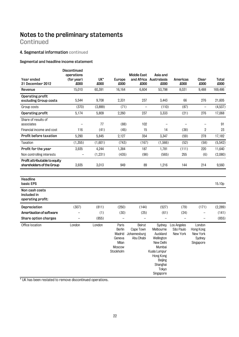**Continued** 

## **4. Segmental information continued**

#### **Segmental and headline income statement**

| Year ended<br>31 December 2012                             | Discontinued<br>operations<br>(for year)<br>£000 | UK*<br>£000 | Europe<br>£000                                                                    | <b>Middle East</b><br>000x                       | Asia and<br>and Africa Australasia<br>£000                                                                                                            | Americas<br>£000                     | Clear<br>£000                                          | <b>Total</b><br>£000 |
|------------------------------------------------------------|--------------------------------------------------|-------------|-----------------------------------------------------------------------------------|--------------------------------------------------|-------------------------------------------------------------------------------------------------------------------------------------------------------|--------------------------------------|--------------------------------------------------------|----------------------|
| Revenue                                                    | 15,010                                           | 60,391      | 16,164                                                                            | 6,604                                            | 53,798                                                                                                                                                | 8,031                                | 9,488                                                  | 169,486              |
| Operating profit<br>excluding Group costs                  | 5,544                                            | 9,708       | 2,331                                                                             | 237                                              | 3,443                                                                                                                                                 | 66                                   | 276                                                    | 21,605               |
| Group costs                                                | (370)                                            | (3,899)     | (71)                                                                              | $\frac{1}{2}$                                    | (110)                                                                                                                                                 | (87)                                 | $\overline{a}$                                         | (4,537)              |
| Operating profit                                           | 5,174                                            | 5,809       | 2,260                                                                             | 237                                              | 3,333                                                                                                                                                 | (21)                                 | 276                                                    | 17,068               |
| Share of results of<br>associates                          |                                                  | 77          | (88)                                                                              | 102                                              | $\overline{\phantom{0}}$                                                                                                                              | $\overline{\phantom{a}}$             | $\overline{\phantom{a}}$                               | 91                   |
| Financial income and cost                                  | 116                                              | (41)        | (45)                                                                              | 15                                               | 14                                                                                                                                                    | (38)                                 | $\overline{2}$                                         | 23                   |
| Profit before taxation                                     | 5,290                                            | 5,845       | 2,127                                                                             | 354                                              | 3,347                                                                                                                                                 | (59)                                 | 278                                                    | 17,182               |
| Taxation                                                   | (1,355)                                          | (1,601)     | (743)                                                                             | (167)                                            | (1,566)                                                                                                                                               | (52)                                 | (58)                                                   | (5, 542)             |
| Profit for the year                                        | 3,935                                            | 4,244       | 1,384                                                                             | 187                                              | 1,781                                                                                                                                                 | (111)                                | 220                                                    | 11,640               |
| Non controlling interests                                  |                                                  | (1, 231)    | (435)                                                                             | (98)                                             | (565)                                                                                                                                                 | 255                                  | (6)                                                    | (2,080)              |
| Profit attributable to equity<br>shareholders of the Group | 3,935                                            | 3,013       | 949                                                                               | 89                                               | 1,216                                                                                                                                                 | 144                                  | 214                                                    | 9,560                |
| Headline<br>basic EPS                                      |                                                  |             |                                                                                   |                                                  |                                                                                                                                                       |                                      |                                                        | 15.10p               |
| Non cash costs<br>included in<br>operating profit:         |                                                  |             |                                                                                   |                                                  |                                                                                                                                                       |                                      |                                                        |                      |
| Depreciation                                               | (307)                                            | (811)       | (250)                                                                             | (144)                                            | (527)                                                                                                                                                 | (79)                                 | (171)                                                  | (2, 289)             |
| Amortisation of software                                   |                                                  | (1)         | (30)                                                                              | (25)                                             | (61)                                                                                                                                                  | (24)                                 | $\overline{\phantom{0}}$                               | (141)                |
| Share option charges                                       | $\overline{a}$                                   | (855)       | $\overline{\phantom{0}}$                                                          | $\qquad \qquad -$                                | $\overline{\phantom{0}}$                                                                                                                              | $\overline{\phantom{0}}$             | $\overline{\phantom{0}}$                               | (855)                |
| Office location                                            | London                                           | London      | Paris<br><b>Berlin</b><br>Madrid<br>Geneva<br>Milan<br><b>Moscow</b><br>Stockholm | Beirut<br>Cape Town<br>Johannesburg<br>Abu Dhabi | Sydney<br>Melbourne<br>Auckland<br>Wellington<br>New Delhi<br>Mumbai<br>Kuala Lumpur<br>Hong Kong<br><b>Beijing</b><br>Shanghai<br>Tokyo<br>Singapore | Los Angeles<br>São Paulo<br>New York | London<br>Hong Kong<br>New York<br>Sydney<br>Singapore |                      |

\* UK has been restated to remove discontinued operations.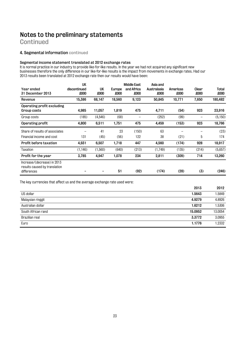**Continued** 

#### **4. Segmental information continued**

#### **Segmental income statement translated at 2012 exchange rates**

It is normal practice in our industry to provide like-for-like results. In the year we had not acquired any significant new businesses therefore the only difference in our like-for-like results is the impact from movements in exchange rates. Had our 2013 results been translated at 2012 exchange rate then our results would have been:

|                                                              | UK           |          |        | <b>Middle East</b> | Asia and    |          |       |          |
|--------------------------------------------------------------|--------------|----------|--------|--------------------|-------------|----------|-------|----------|
| Year ended                                                   | discontinued | UK       | Europe | and Africa         | Australasia | Americas | Clear | Total    |
| 31 December 2013                                             | £000         | £000     | £000   | £000               | £000        | £000     | £000  | 000x     |
| Revenue                                                      | 15,386       | 68,147   | 18,560 | 9,123              | 50,845      | 10,771   | 7,650 | 180,482  |
| Operating profit excluding                                   |              |          |        |                    |             |          |       |          |
| Group costs                                                  | 4,985        | 11,057   | 1,819  | 475                | 4,711       | (54)     | 923   | 23,916   |
| Group costs                                                  | (185)        | (4, 546) | (68)   |                    | (252)       | (99)     |       | (5, 150) |
| Operating profit                                             | 4,800        | 6,511    | 1,751  | 475                | 4,459       | (153)    | 923   | 18,766   |
| Share of results of associates                               |              | 41       | 23     | (150)              | 63          |          |       | (23)     |
| Financial income and cost                                    | 131          | (45)     | (56)   | 122                | 38          | (21)     | 5     | 174      |
| Profit before taxation                                       | 4,931        | 6,507    | 1,718  | 447                | 4,560       | (174)    | 928   | 18,917   |
| Taxation                                                     | (1, 146)     | (1,560)  | (640)  | (213)              | (1,749)     | (135)    | (214) | (5,657)  |
| Profit for the year                                          | 3,785        | 4,947    | 1,078  | 234                | 2,811       | (309)    | 714   | 13,260   |
| Increase/(decrease) in 2013<br>results caused by translation |              |          |        |                    |             |          |       |          |
| differences                                                  |              |          | 51     | (92)               | (174)       | (28)     | (3)   | (246)    |
|                                                              |              |          |        |                    |             |          |       |          |

The key currencies that affect us and the average exchange rate used were:

| 2012    |
|---------|
| 1.5849  |
| 4.8926  |
| 1.5306  |
| 13.0054 |
| 3.0955  |
| 1.2332  |
|         |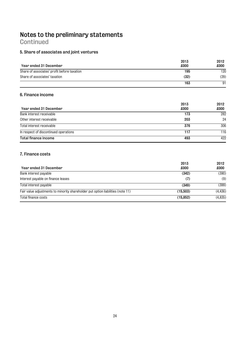**Continued** 

## **5. Share of associates and joint ventures**

|                                             | 2013 | 2012 |
|---------------------------------------------|------|------|
| Year ended 31 December                      | £000 | £000 |
| Share of associates' profit before taxation | 195  | 120  |
| Share of associates' taxation               | (32) | (29) |
|                                             | 163  | 91   |

#### **6. Finance income**

|                                       | 2013 | 2012 |
|---------------------------------------|------|------|
| Year ended 31 December                | £000 | £000 |
| Bank interest receivable              | 173  | 282  |
| Other interest receivable             | 203  | 24   |
| Total interest receivable             | 376  | 306  |
| In respect of discontinued operations | 117  | 116  |
| Total finance income                  | 493  | 422  |

#### **7. Finance costs**

| Year ended 31 December                                                          | 2013<br>£000 | 2012<br>£000 |
|---------------------------------------------------------------------------------|--------------|--------------|
| Bank interest payable                                                           | (342)        | (390)        |
| Interest payable on finance leases                                              | (7)          | (9)          |
| Total interest payable                                                          | (349)        | (399)        |
| Fair value adjustments to minority shareholder put option liabilities (note 11) | (15,503)     | (4, 436)     |
| Total finance costs                                                             | (15, 852)    | (4, 835)     |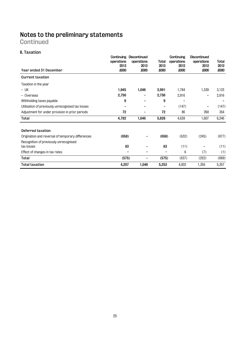## **Notes to the preliminary statements Continued**

## **8. Taxation**

| Year ended 31 December                               | Continuing<br>operations<br>2013<br>£000 | Discontinued<br>operations<br>2013<br>£000 | Total<br>2013<br>£000 | Continuing<br>operations<br>2012<br>£000 | Discontinued<br>operations<br>2012<br>£000 | Total<br>2012<br>£000 |
|------------------------------------------------------|------------------------------------------|--------------------------------------------|-----------------------|------------------------------------------|--------------------------------------------|-----------------------|
| <b>Current taxation</b>                              |                                          |                                            |                       |                                          |                                            |                       |
| Taxation in the year                                 |                                          |                                            |                       |                                          |                                            |                       |
| $-$ UK                                               | 1,945                                    | 1,046                                      | 2,991                 | 1,784                                    | 1,339                                      | 3,123                 |
| - Overseas                                           | 2,756                                    |                                            | 2,756                 | 2,916                                    | -                                          | 2,916                 |
| Withholding taxes payable                            | 9                                        |                                            | 9                     | -                                        |                                            |                       |
| Utilisation of previously unrecognised tax losses    |                                          |                                            |                       | (147)                                    |                                            | (147)                 |
| Adjustment for under provision in prior periods      | 72                                       |                                            | 72                    | 86                                       | 268                                        | 354                   |
| Total                                                | 4,782                                    | 1,046                                      | 5,828                 | 4,639                                    | 1,607                                      | 6,246                 |
| Deferred taxation                                    |                                          |                                            |                       |                                          |                                            |                       |
| Origination and reversal of temporary differences    | (658)                                    |                                            | (658)                 | (632)                                    | (245)                                      | (877)                 |
| Recognition of previously unrecognised<br>tax losses | 83                                       |                                            | 83                    | (11)                                     |                                            | (11)                  |
| Effect of changes in tax rates                       |                                          |                                            | -                     | 6                                        | (7)                                        | (1)                   |
| Total                                                | (575)                                    | -                                          | (575)                 | (637)                                    | (252)                                      | (889)                 |
| <b>Total taxation</b>                                | 4,207                                    | 1,046                                      | 5,253                 | 4,002                                    | 1,355                                      | 5,357                 |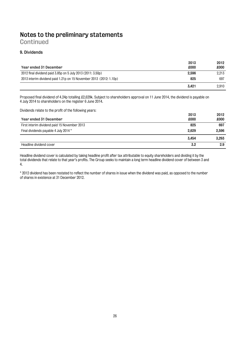**Continued** 

#### **9. Dividends**

| Year ended 31 December                                             | 2013<br>£000 | 2012<br>£000 |
|--------------------------------------------------------------------|--------------|--------------|
| 2012 final dividend paid 3.85p on 5 July 2013 (2011: 3.50p)        | 2,596        | 2.213        |
| 2013 interim dividend paid 1.21p on 15 November 2013 (2012: 1.10p) | 825          | 697          |
|                                                                    | 3.421        | 2.910        |

Proposed final dividend of 4.24p totalling £2,629k. Subject to shareholders approval on 11 June 2014, the dividend is payable on 4 July 2014 to shareholders on the register 6 June 2014.

Dividends relate to the profit of the following years:

|                                              | 2013  | 2012  |
|----------------------------------------------|-------|-------|
| Year ended 31 December                       | £000  | £000  |
| First interim dividend paid 15 November 2013 | 825   | 697   |
| Final dividends payable 4 July 2014 *        | 2.629 | 2.596 |
|                                              | 3.454 | 3.293 |
| Headline dividend cover                      | 3.2   | 2.9   |

Headline dividend cover is calculated by taking headline profit after tax attributable to equity shareholders and dividing it by the total dividends that relate to that year's profits. The Group seeks to maintain a long term headline dividend cover of between 3 and 4.

\* 2012 dividend has been restated to reflect the number of shares in issue when the dividend was paid, as opposed to the number of shares in existence at 31 December 2012.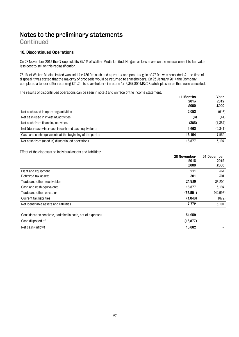## **Continued**

#### **10. Discontinued Operations**

On 28 November 2013 the Group sold its 75.1% of Walker Media Limited. No gain or loss arose on the measurement to fair value less cost to sell on this reclassification.

75.1% of Walker Media Limited was sold for £36.0m cash and a pre-tax and post-tax gain of £7.0m was recorded. At the time of disposal it was stated that the majority of proceeds would be returned to shareholders. On 23 January 2014 the Company completed a tender offer returning £21.2m to shareholders in return for 6,337,800 M&C Saatchi plc shares that were cancelled.

The results of discontinued operations can be seen in note 3 and on face of the income statement.

|                                                          | 11 Months<br>2013<br>£000 | Year<br>2012<br>£000 |
|----------------------------------------------------------|---------------------------|----------------------|
| Net cash used in operating activities                    | 2,052                     | (916)                |
| Net cash used in investing activities                    | (6)                       | (41)                 |
| Net cash from financing activities                       | (383)                     | (1,384)              |
| Net (decrease)/increase in cash and cash equivalents     | 1.663                     | (2.341)              |
| Cash and cash equivalents at the beginning of the period | 15.194                    | 17.535               |
| Net cash from (used in) discontinued operations          | 16.877                    | 15.194               |

Effect of the disposals on individual assets and liabilities:

|                                                            | 28 November | 31 December |
|------------------------------------------------------------|-------------|-------------|
|                                                            | 2013        | 2012        |
|                                                            | £000        | £000        |
| Plant and equipment                                        | 211         | 367         |
| Deferred tax assets                                        | 301         | 301         |
| Trade and other receivables                                | 24,930      | 33,200      |
| Cash and cash equivalents                                  | 16.877      | 15,194      |
| Trade and other payables                                   | (33,501)    | (42, 993)   |
| Current tax liabilities                                    | (1,046)     | (872)       |
| Net identifiable assets and liabilities                    | 7,772       | 5,197       |
| Consideration received, satisfied in cash, net of expenses | 31,959      |             |
| Cash disposed of                                           | (16, 877)   |             |
| Net cash (inflow)                                          | 15,082      |             |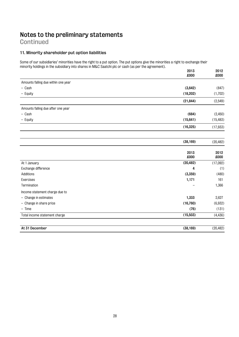## **Continued**

#### **11. Minority shareholder put option liabilities**

Some of our subsidiaries' minorities have the right to a put option. The put options give the minorities a right to exchange their minority holdings in the subsidiary into shares in M&C Saatchi plc or cash (as per the agreement).

|                                     | 2013<br>£000 | 2012<br>£000 |
|-------------------------------------|--------------|--------------|
| Amounts falling due within one year |              |              |
| - Cash                              | (3,642)      | (847)        |
| - Equity                            | (18, 202)    | (1,702)      |
|                                     | (21, 844)    | (2,549)      |
| Amounts falling due after one year  |              |              |
| $-$ Cash                            | (684)        | (2, 450)     |
| - Equity                            | (15, 641)    | (15, 483)    |
|                                     | (16, 325)    | (17, 933)    |
|                                     | (38, 169)    | (20, 482)    |
|                                     | 2013<br>£000 | 2012<br>£000 |
| At 1 January                        | (20, 482)    | (17,092)     |
| Exchange difference                 | 4            | (1)          |
| Additions                           | (3,359)      | (480)        |
| Exercises                           | 1,171        | 161          |
| Termination                         |              | 1,366        |
| Income statement charge due to      |              |              |
| - Change in estimates               | 1,333        | 2,627        |
| - Change in share price             | (16, 760)    | (6,932)      |
| $-$ Time                            | (76)         | (131)        |
| Total income statement charge       | (15, 503)    | (4, 436)     |
| At 31 December                      | (38, 169)    | (20, 482)    |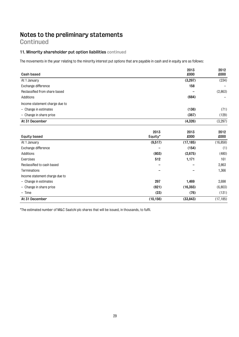## **Continued**

#### **11. Minority shareholder put option liabilities continued**

The movements in the year relating to the minority interest put options that are payable in cash and in equity are as follows:

| <b>Cash based</b>              |                 | 2013<br>£000 | 2012<br>£000 |
|--------------------------------|-----------------|--------------|--------------|
|                                |                 |              |              |
| At 1 January                   |                 | (3, 297)     | (234)        |
| Exchange difference            |                 | 158          |              |
| Reclassified from share based  |                 |              | (2,863)      |
| Additions                      |                 | (684)        |              |
| Income statement charge due to |                 |              |              |
| $-$ Change in estimates        |                 | (136)        | (71)         |
| - Change in share price        |                 | (367)        | (129)        |
| At 31 December                 |                 | (4,326)      | (3, 297)     |
|                                |                 |              |              |
| <b>Equity based</b>            | 2013<br>Equity* | 2013<br>£000 | 2012<br>£000 |
| At 1 January                   | (9,517)         | (17, 185)    | (16, 858)    |
| Exchange difference            |                 | (154)        | (1)          |
| Additions                      | (803)           | (2,675)      | (480)        |
| Exercises                      | 512             | 1,171        | 161          |
| Reclassified to cash based     |                 |              | 2,863        |
| Terminations                   |                 |              | 1,366        |
| Income statement charge due to |                 |              |              |
| $-$ Change in estimates        | 297             | 1,469        | 2,698        |
| - Change in share price        | (621)           | (16, 393)    | (6,803)      |
| $-$ Time                       | (23)            | (76)         | (131)        |
| At 31 December                 | (10, 156)       | (33, 843)    | (17, 185)    |

\*The estimated number of M&C Saatchi plc shares that will be issued, in thousands, to fulfil.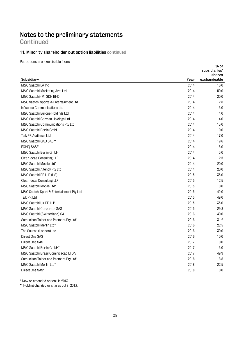**Continued** 

#### **11. Minority shareholder put option liabilities continued**

Put options are exercisable from:

| Subsidiary<br>Year<br>exchangeable<br>2014<br>M&C Saatchi LA Inc<br>16.0<br>2014<br>50.0<br>M&C Saatchi Marketing Arts Ltd<br>2014<br>20.0<br>M&C Saatchi (M) SDN BHD<br>2014<br>2.8<br>M&C Saatchi Sports & Entertainment Ltd<br>2014<br>5.0<br>Influence Communications Ltd<br>2014<br>4.0<br>M&C Saatchi Europe Holdings Ltd<br>2014<br>4.0<br>M&C Saatchi German Holdings Ltd<br>2014<br>13.0<br>M&C Saatchi Communications Pty Ltd<br>2014<br>M&C Saatchi Berlin GmbH<br>10.0<br>Talk PR Audience Ltd<br>2014<br>17.0<br>2014<br>19.6<br>M&C Saatchi GAD SAS**<br>2014<br>FCINQ SAS**<br>15.0<br>2014<br>5.0<br>M&C Saatchi Berlin GmbH<br>2014<br>Clear Ideas Consulting LLP<br>12.5<br>2014<br>20.0<br>M&C Saatchi Mobile Ltd*<br>2014<br>20.0<br>M&C Saatchi Agency Pty Ltd<br>M&C Saatchi PR LLP (US)<br>2015<br>35.0<br>2015<br>Clear Ideas Consulting LLP<br>12.5<br>2015<br>10.0<br>M&C Saatchi Mobile Ltd*<br>2015<br>M&C Saatchi Sport & Entertainment Pty Ltd<br>49.0<br>Talk PR Ltd<br>2015<br>49.0<br>2015<br>M&C Saatchi UK PR LLP<br>35.0<br>2015<br>29.8<br>M&C Saatchi Corporate SAS<br>2016<br>40.0<br>M&C Saatchi (Switzerland) SA<br>2016<br>31.2<br>Samuelson Talbot and Partners Pty Ltd*<br>M&C Saatchi Merlin Ltd*<br>2016<br>22.5<br>2016<br>The Source (London) Ltd<br>30.0<br>Direct One SAS<br>2016<br>10.0<br>2017<br>Direct One SAS<br>10.0<br>2017<br>5.0<br>M&C Saatchi Berlin GmbH*<br>2017<br>M&C Saatchi Brazil Cominicação LTDA<br>49.9<br>2018<br>Samuelson Talbot and Partners Pty Ltd*<br>8.8<br>2018<br>22.5<br>M&C Saatchi Merlin Ltd*<br>2018<br>10.0<br>Direct One SAS* |  | subsidiaries' |
|------------------------------------------------------------------------------------------------------------------------------------------------------------------------------------------------------------------------------------------------------------------------------------------------------------------------------------------------------------------------------------------------------------------------------------------------------------------------------------------------------------------------------------------------------------------------------------------------------------------------------------------------------------------------------------------------------------------------------------------------------------------------------------------------------------------------------------------------------------------------------------------------------------------------------------------------------------------------------------------------------------------------------------------------------------------------------------------------------------------------------------------------------------------------------------------------------------------------------------------------------------------------------------------------------------------------------------------------------------------------------------------------------------------------------------------------------------------------------------------------------------------------------------------------------------------------------------------------------------------------|--|---------------|
|                                                                                                                                                                                                                                                                                                                                                                                                                                                                                                                                                                                                                                                                                                                                                                                                                                                                                                                                                                                                                                                                                                                                                                                                                                                                                                                                                                                                                                                                                                                                                                                                                        |  | shares        |
|                                                                                                                                                                                                                                                                                                                                                                                                                                                                                                                                                                                                                                                                                                                                                                                                                                                                                                                                                                                                                                                                                                                                                                                                                                                                                                                                                                                                                                                                                                                                                                                                                        |  |               |
|                                                                                                                                                                                                                                                                                                                                                                                                                                                                                                                                                                                                                                                                                                                                                                                                                                                                                                                                                                                                                                                                                                                                                                                                                                                                                                                                                                                                                                                                                                                                                                                                                        |  |               |
|                                                                                                                                                                                                                                                                                                                                                                                                                                                                                                                                                                                                                                                                                                                                                                                                                                                                                                                                                                                                                                                                                                                                                                                                                                                                                                                                                                                                                                                                                                                                                                                                                        |  |               |
|                                                                                                                                                                                                                                                                                                                                                                                                                                                                                                                                                                                                                                                                                                                                                                                                                                                                                                                                                                                                                                                                                                                                                                                                                                                                                                                                                                                                                                                                                                                                                                                                                        |  |               |
|                                                                                                                                                                                                                                                                                                                                                                                                                                                                                                                                                                                                                                                                                                                                                                                                                                                                                                                                                                                                                                                                                                                                                                                                                                                                                                                                                                                                                                                                                                                                                                                                                        |  |               |
|                                                                                                                                                                                                                                                                                                                                                                                                                                                                                                                                                                                                                                                                                                                                                                                                                                                                                                                                                                                                                                                                                                                                                                                                                                                                                                                                                                                                                                                                                                                                                                                                                        |  |               |
|                                                                                                                                                                                                                                                                                                                                                                                                                                                                                                                                                                                                                                                                                                                                                                                                                                                                                                                                                                                                                                                                                                                                                                                                                                                                                                                                                                                                                                                                                                                                                                                                                        |  |               |
|                                                                                                                                                                                                                                                                                                                                                                                                                                                                                                                                                                                                                                                                                                                                                                                                                                                                                                                                                                                                                                                                                                                                                                                                                                                                                                                                                                                                                                                                                                                                                                                                                        |  |               |
|                                                                                                                                                                                                                                                                                                                                                                                                                                                                                                                                                                                                                                                                                                                                                                                                                                                                                                                                                                                                                                                                                                                                                                                                                                                                                                                                                                                                                                                                                                                                                                                                                        |  |               |
|                                                                                                                                                                                                                                                                                                                                                                                                                                                                                                                                                                                                                                                                                                                                                                                                                                                                                                                                                                                                                                                                                                                                                                                                                                                                                                                                                                                                                                                                                                                                                                                                                        |  |               |
|                                                                                                                                                                                                                                                                                                                                                                                                                                                                                                                                                                                                                                                                                                                                                                                                                                                                                                                                                                                                                                                                                                                                                                                                                                                                                                                                                                                                                                                                                                                                                                                                                        |  |               |
|                                                                                                                                                                                                                                                                                                                                                                                                                                                                                                                                                                                                                                                                                                                                                                                                                                                                                                                                                                                                                                                                                                                                                                                                                                                                                                                                                                                                                                                                                                                                                                                                                        |  |               |
|                                                                                                                                                                                                                                                                                                                                                                                                                                                                                                                                                                                                                                                                                                                                                                                                                                                                                                                                                                                                                                                                                                                                                                                                                                                                                                                                                                                                                                                                                                                                                                                                                        |  |               |
|                                                                                                                                                                                                                                                                                                                                                                                                                                                                                                                                                                                                                                                                                                                                                                                                                                                                                                                                                                                                                                                                                                                                                                                                                                                                                                                                                                                                                                                                                                                                                                                                                        |  |               |
|                                                                                                                                                                                                                                                                                                                                                                                                                                                                                                                                                                                                                                                                                                                                                                                                                                                                                                                                                                                                                                                                                                                                                                                                                                                                                                                                                                                                                                                                                                                                                                                                                        |  |               |
|                                                                                                                                                                                                                                                                                                                                                                                                                                                                                                                                                                                                                                                                                                                                                                                                                                                                                                                                                                                                                                                                                                                                                                                                                                                                                                                                                                                                                                                                                                                                                                                                                        |  |               |
|                                                                                                                                                                                                                                                                                                                                                                                                                                                                                                                                                                                                                                                                                                                                                                                                                                                                                                                                                                                                                                                                                                                                                                                                                                                                                                                                                                                                                                                                                                                                                                                                                        |  |               |
|                                                                                                                                                                                                                                                                                                                                                                                                                                                                                                                                                                                                                                                                                                                                                                                                                                                                                                                                                                                                                                                                                                                                                                                                                                                                                                                                                                                                                                                                                                                                                                                                                        |  |               |
|                                                                                                                                                                                                                                                                                                                                                                                                                                                                                                                                                                                                                                                                                                                                                                                                                                                                                                                                                                                                                                                                                                                                                                                                                                                                                                                                                                                                                                                                                                                                                                                                                        |  |               |
|                                                                                                                                                                                                                                                                                                                                                                                                                                                                                                                                                                                                                                                                                                                                                                                                                                                                                                                                                                                                                                                                                                                                                                                                                                                                                                                                                                                                                                                                                                                                                                                                                        |  |               |
|                                                                                                                                                                                                                                                                                                                                                                                                                                                                                                                                                                                                                                                                                                                                                                                                                                                                                                                                                                                                                                                                                                                                                                                                                                                                                                                                                                                                                                                                                                                                                                                                                        |  |               |
|                                                                                                                                                                                                                                                                                                                                                                                                                                                                                                                                                                                                                                                                                                                                                                                                                                                                                                                                                                                                                                                                                                                                                                                                                                                                                                                                                                                                                                                                                                                                                                                                                        |  |               |
|                                                                                                                                                                                                                                                                                                                                                                                                                                                                                                                                                                                                                                                                                                                                                                                                                                                                                                                                                                                                                                                                                                                                                                                                                                                                                                                                                                                                                                                                                                                                                                                                                        |  |               |
|                                                                                                                                                                                                                                                                                                                                                                                                                                                                                                                                                                                                                                                                                                                                                                                                                                                                                                                                                                                                                                                                                                                                                                                                                                                                                                                                                                                                                                                                                                                                                                                                                        |  |               |
|                                                                                                                                                                                                                                                                                                                                                                                                                                                                                                                                                                                                                                                                                                                                                                                                                                                                                                                                                                                                                                                                                                                                                                                                                                                                                                                                                                                                                                                                                                                                                                                                                        |  |               |
|                                                                                                                                                                                                                                                                                                                                                                                                                                                                                                                                                                                                                                                                                                                                                                                                                                                                                                                                                                                                                                                                                                                                                                                                                                                                                                                                                                                                                                                                                                                                                                                                                        |  |               |
|                                                                                                                                                                                                                                                                                                                                                                                                                                                                                                                                                                                                                                                                                                                                                                                                                                                                                                                                                                                                                                                                                                                                                                                                                                                                                                                                                                                                                                                                                                                                                                                                                        |  |               |
|                                                                                                                                                                                                                                                                                                                                                                                                                                                                                                                                                                                                                                                                                                                                                                                                                                                                                                                                                                                                                                                                                                                                                                                                                                                                                                                                                                                                                                                                                                                                                                                                                        |  |               |
|                                                                                                                                                                                                                                                                                                                                                                                                                                                                                                                                                                                                                                                                                                                                                                                                                                                                                                                                                                                                                                                                                                                                                                                                                                                                                                                                                                                                                                                                                                                                                                                                                        |  |               |
|                                                                                                                                                                                                                                                                                                                                                                                                                                                                                                                                                                                                                                                                                                                                                                                                                                                                                                                                                                                                                                                                                                                                                                                                                                                                                                                                                                                                                                                                                                                                                                                                                        |  |               |
|                                                                                                                                                                                                                                                                                                                                                                                                                                                                                                                                                                                                                                                                                                                                                                                                                                                                                                                                                                                                                                                                                                                                                                                                                                                                                                                                                                                                                                                                                                                                                                                                                        |  |               |
|                                                                                                                                                                                                                                                                                                                                                                                                                                                                                                                                                                                                                                                                                                                                                                                                                                                                                                                                                                                                                                                                                                                                                                                                                                                                                                                                                                                                                                                                                                                                                                                                                        |  |               |
|                                                                                                                                                                                                                                                                                                                                                                                                                                                                                                                                                                                                                                                                                                                                                                                                                                                                                                                                                                                                                                                                                                                                                                                                                                                                                                                                                                                                                                                                                                                                                                                                                        |  |               |
|                                                                                                                                                                                                                                                                                                                                                                                                                                                                                                                                                                                                                                                                                                                                                                                                                                                                                                                                                                                                                                                                                                                                                                                                                                                                                                                                                                                                                                                                                                                                                                                                                        |  |               |
|                                                                                                                                                                                                                                                                                                                                                                                                                                                                                                                                                                                                                                                                                                                                                                                                                                                                                                                                                                                                                                                                                                                                                                                                                                                                                                                                                                                                                                                                                                                                                                                                                        |  |               |

**% of** 

\* New or amended options in 2013.

\*\* Holding changed or shares put in 2013.